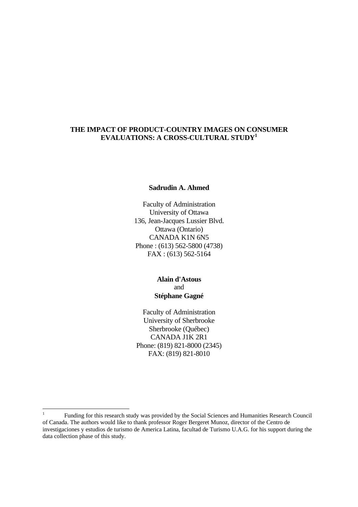### **THE IMPACT OF PRODUCT-COUNTRY IMAGES ON CONSUMER EVALUATIONS: A CROSS-CULTURAL STUDY<sup>1</sup>**

#### **Sadrudin A. Ahmed**

Faculty of Administration University of Ottawa 136, Jean-Jacques Lussier Blvd. Ottawa (Ontario) CANADA K1N 6N5 Phone : (613) 562-5800 (4738) FAX : (613) 562-5164

#### **Alain d'Astous** and **Stéphane Gagné**

Faculty of Administration University of Sherbrooke Sherbrooke (Québec) CANADA J1K 2R1 Phone: (819) 821-8000 (2345) FAX: (819) 821-8010

 $\frac{1}{1}$ Funding for this research study was provided by the Social Sciences and Humanities Research Council of Canada. The authors would like to thank professor Roger Bergeret Munoz, director of the Centro de investigaciones y estudios de turismo de America Latina, facultad de Turismo U.A.G. for his support during the data collection phase of this study.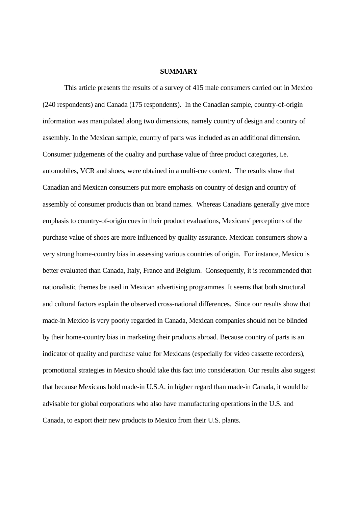#### **SUMMARY**

This article presents the results of a survey of 415 male consumers carried out in Mexico (240 respondents) and Canada (175 respondents). In the Canadian sample, country-of-origin information was manipulated along two dimensions, namely country of design and country of assembly. In the Mexican sample, country of parts was included as an additional dimension. Consumer judgements of the quality and purchase value of three product categories, i.e. automobiles, VCR and shoes, were obtained in a multi-cue context. The results show that Canadian and Mexican consumers put more emphasis on country of design and country of assembly of consumer products than on brand names. Whereas Canadians generally give more emphasis to country-of-origin cues in their product evaluations, Mexicans' perceptions of the purchase value of shoes are more influenced by quality assurance. Mexican consumers show a very strong home-country bias in assessing various countries of origin. For instance, Mexico is better evaluated than Canada, Italy, France and Belgium. Consequently, it is recommended that nationalistic themes be used in Mexican advertising programmes. It seems that both structural and cultural factors explain the observed cross-national differences. Since our results show that made-in Mexico is very poorly regarded in Canada, Mexican companies should not be blinded by their home-country bias in marketing their products abroad. Because country of parts is an indicator of quality and purchase value for Mexicans (especially for video cassette recorders), promotional strategies in Mexico should take this fact into consideration. Our results also suggest that because Mexicans hold made-in U.S.A. in higher regard than made-in Canada, it would be advisable for global corporations who also have manufacturing operations in the U.S. and Canada, to export their new products to Mexico from their U.S. plants.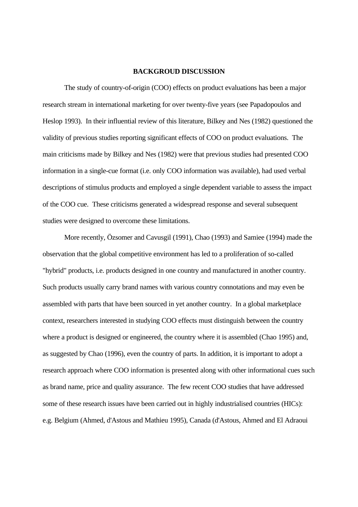#### **BACKGROUD DISCUSSION**

The study of country-of-origin (COO) effects on product evaluations has been a major research stream in international marketing for over twenty-five years (see Papadopoulos and Heslop 1993). In their influential review of this literature, Bilkey and Nes (1982) questioned the validity of previous studies reporting significant effects of COO on product evaluations. The main criticisms made by Bilkey and Nes (1982) were that previous studies had presented COO information in a single-cue format (i.e. only COO information was available), had used verbal descriptions of stimulus products and employed a single dependent variable to assess the impact of the COO cue. These criticisms generated a widespread response and several subsequent studies were designed to overcome these limitations.

More recently, Özsomer and Cavusgil (1991), Chao (1993) and Samiee (1994) made the observation that the global competitive environment has led to a proliferation of so-called "hybrid" products, i.e. products designed in one country and manufactured in another country. Such products usually carry brand names with various country connotations and may even be assembled with parts that have been sourced in yet another country. In a global marketplace context, researchers interested in studying COO effects must distinguish between the country where a product is designed or engineered, the country where it is assembled (Chao 1995) and, as suggested by Chao (1996), even the country of parts. In addition, it is important to adopt a research approach where COO information is presented along with other informational cues such as brand name, price and quality assurance. The few recent COO studies that have addressed some of these research issues have been carried out in highly industrialised countries (HICs): e.g. Belgium (Ahmed, d'Astous and Mathieu 1995), Canada (d'Astous, Ahmed and El Adraoui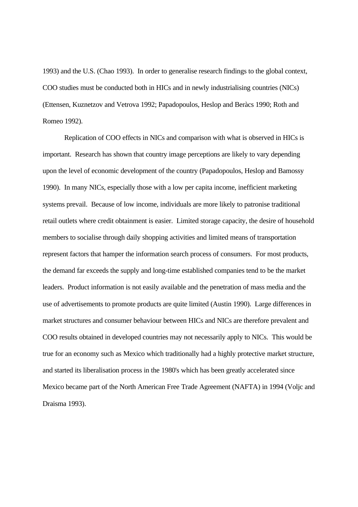1993) and the U.S. (Chao 1993). In order to generalise research findings to the global context, COO studies must be conducted both in HICs and in newly industrialising countries (NICs) (Ettensen, Kuznetzov and Vetrova 1992; Papadopoulos, Heslop and Beràcs 1990; Roth and Romeo 1992).

Replication of COO effects in NICs and comparison with what is observed in HICs is important. Research has shown that country image perceptions are likely to vary depending upon the level of economic development of the country (Papadopoulos, Heslop and Bamossy 1990). In many NICs, especially those with a low per capita income, inefficient marketing systems prevail. Because of low income, individuals are more likely to patronise traditional retail outlets where credit obtainment is easier. Limited storage capacity, the desire of household members to socialise through daily shopping activities and limited means of transportation represent factors that hamper the information search process of consumers. For most products, the demand far exceeds the supply and long-time established companies tend to be the market leaders. Product information is not easily available and the penetration of mass media and the use of advertisements to promote products are quite limited (Austin 1990). Large differences in market structures and consumer behaviour between HICs and NICs are therefore prevalent and COO results obtained in developed countries may not necessarily apply to NICs. This would be true for an economy such as Mexico which traditionally had a highly protective market structure, and started its liberalisation process in the 1980's which has been greatly accelerated since Mexico became part of the North American Free Trade Agreement (NAFTA) in 1994 (Voljc and Draisma 1993).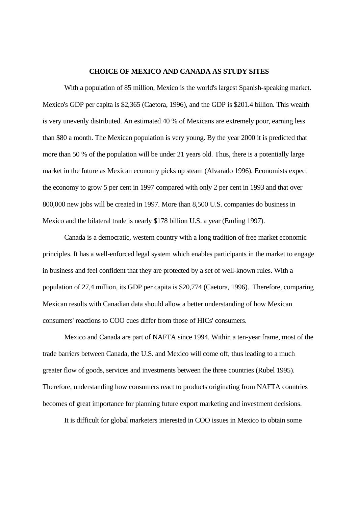#### **CHOICE OF MEXICO AND CANADA AS STUDY SITES**

With a population of 85 million, Mexico is the world's largest Spanish-speaking market. Mexico's GDP per capita is \$2,365 (Caetora, 1996), and the GDP is \$201.4 billion. This wealth is very unevenly distributed. An estimated 40 % of Mexicans are extremely poor, earning less than \$80 a month. The Mexican population is very young. By the year 2000 it is predicted that more than 50 % of the population will be under 21 years old. Thus, there is a potentially large market in the future as Mexican economy picks up steam (Alvarado 1996). Economists expect the economy to grow 5 per cent in 1997 compared with only 2 per cent in 1993 and that over 800,000 new jobs will be created in 1997. More than 8,500 U.S. companies do business in Mexico and the bilateral trade is nearly \$178 billion U.S. a year (Emling 1997).

Canada is a democratic, western country with a long tradition of free market economic principles. It has a well-enforced legal system which enables participants in the market to engage in business and feel confident that they are protected by a set of well-known rules. With a population of 27,4 million, its GDP per capita is \$20,774 (Caetora, 1996). Therefore, comparing Mexican results with Canadian data should allow a better understanding of how Mexican consumers' reactions to COO cues differ from those of HICs' consumers.

Mexico and Canada are part of NAFTA since 1994. Within a ten-year frame, most of the trade barriers between Canada, the U.S. and Mexico will come off, thus leading to a much greater flow of goods, services and investments between the three countries (Rubel 1995). Therefore, understanding how consumers react to products originating from NAFTA countries becomes of great importance for planning future export marketing and investment decisions.

It is difficult for global marketers interested in COO issues in Mexico to obtain some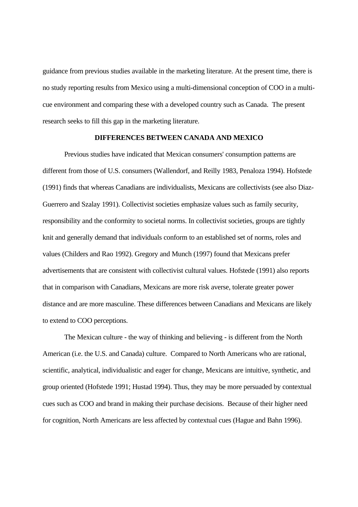guidance from previous studies available in the marketing literature. At the present time, there is no study reporting results from Mexico using a multi-dimensional conception of COO in a multicue environment and comparing these with a developed country such as Canada. The present research seeks to fill this gap in the marketing literature.

#### **DIFFERENCES BETWEEN CANADA AND MEXICO**

Previous studies have indicated that Mexican consumers' consumption patterns are different from those of U.S. consumers (Wallendorf, and Reilly 1983, Penaloza 1994). Hofstede (1991) finds that whereas Canadians are individualists, Mexicans are collectivists (see also Diaz-Guerrero and Szalay 1991). Collectivist societies emphasize values such as family security, responsibility and the conformity to societal norms. In collectivist societies, groups are tightly knit and generally demand that individuals conform to an established set of norms, roles and values (Childers and Rao 1992). Gregory and Munch (1997) found that Mexicans prefer advertisements that are consistent with collectivist cultural values. Hofstede (1991) also reports that in comparison with Canadians, Mexicans are more risk averse, tolerate greater power distance and are more masculine. These differences between Canadians and Mexicans are likely to extend to COO perceptions.

The Mexican culture - the way of thinking and believing - is different from the North American (i.e. the U.S. and Canada) culture. Compared to North Americans who are rational, scientific, analytical, individualistic and eager for change, Mexicans are intuitive, synthetic, and group oriented (Hofstede 1991; Hustad 1994). Thus, they may be more persuaded by contextual cues such as COO and brand in making their purchase decisions. Because of their higher need for cognition, North Americans are less affected by contextual cues (Hague and Bahn 1996).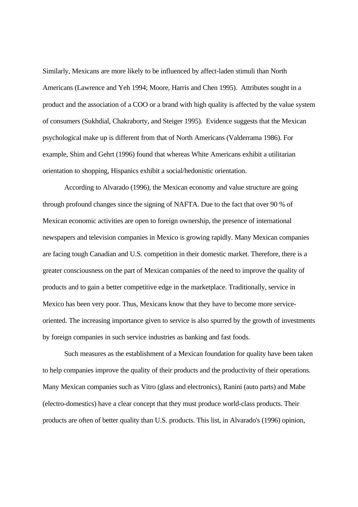Similarly, Mexicans are more likely to be influenced by affect-laden stimuli than North Americans (Lawrence and Yeh 1994; Moore, Harris and Chen 1995). Attributes sought in a product and the association of a COO or a brand with high quality is affected by the value system of consumers (Sukhdial, Chakraborty, and Steiger 1995). Evidence suggests that the Mexican psychological make up is different from that of North Americans (Valderrama 1986). For example, Shim and Gehrt (1996) found that whereas White Americans exhibit a utilitarian orientation to shopping, Hispanics exhibit a social/hedonistic orientation.

According to Alvarado (1996), the Mexican economy and value structure are going through profound changes since the signing of NAFTA. Due to the fact that over 90 % of Mexican economic activities are open to foreign ownership, the presence of international newspapers and television companies in Mexico is growing rapidly. Many Mexican companies are facing tough Canadian and U.S. competition in their domestic market. Therefore, there is a greater consciousness on the part of Mexican companies of the need to improve the quality of products and to gain a better competitive edge in the marketplace. Traditionally, service in Mexico has been very poor. Thus, Mexicans know that they have to become more serviceoriented. The increasing importance given to service is also spurred by the growth of investments by foreign companies in such service industries as banking and fast foods.

Such measures as the establishment of a Mexican foundation for quality have been taken to help companies improve the quality of their products and the productivity of their operations. Many Mexican companies such as Vitro (glass and electronics), Ranini (auto parts) and Mabe (electro-domestics) have a clear concept that they must produce world-class products. Their products are often of better quality than U.S. products. This list, in Alvarado's (1996) opinion,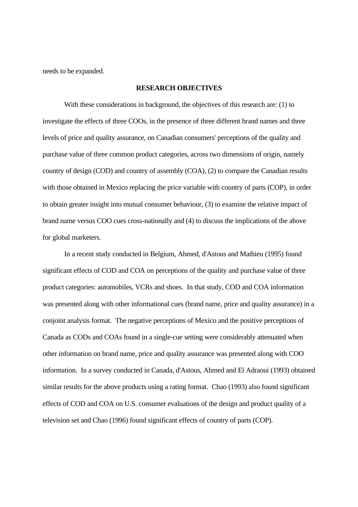needs to be expanded.

#### **RESEARCH OBJECTIVES**

With these considerations in background, the objectives of this research are: (1) to investigate the effects of three COOs, in the presence of three different brand names and three levels of price and quality assurance, on Canadian consumers' perceptions of the quality and purchase value of three common product categories, across two dimensions of origin, namely country of design (COD) and country of assembly (COA), (2) to compare the Canadian results with those obtained in Mexico replacing the price variable with country of parts (COP), in order to obtain greater insight into mutual consumer behaviour, (3) to examine the relative impact of brand name versus COO cues cross-nationally and (4) to discuss the implications of the above for global marketers.

In a recent study conducted in Belgium, Ahmed, d'Astous and Mathieu (1995) found significant effects of COD and COA on perceptions of the quality and purchase value of three product categories: automobiles, VCRs and shoes. In that study, COD and COA information was presented along with other informational cues (brand name, price and quality assurance) in a conjoint analysis format. The negative perceptions of Mexico and the positive perceptions of Canada as CODs and COAs found in a single-cue setting were considerably attenuated when other information on brand name, price and quality assurance was presented along with COO information. In a survey conducted in Canada, d'Astous, Ahmed and El Adraoui (1993) obtained similar results for the above products using a rating format. Chao (1993) also found significant effects of COD and COA on U.S. consumer evaluations of the design and product quality of a television set and Chao (1996) found significant effects of country of parts (COP).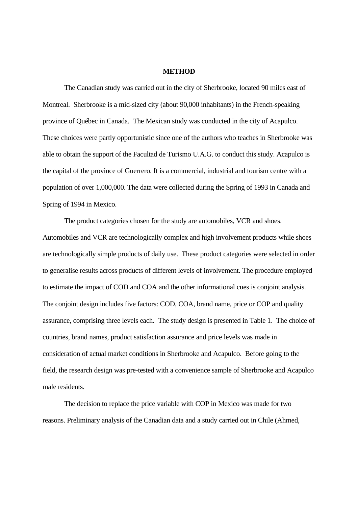#### **METHOD**

The Canadian study was carried out in the city of Sherbrooke, located 90 miles east of Montreal. Sherbrooke is a mid-sized city (about 90,000 inhabitants) in the French-speaking province of Québec in Canada. The Mexican study was conducted in the city of Acapulco. These choices were partly opportunistic since one of the authors who teaches in Sherbrooke was able to obtain the support of the Facultad de Turismo U.A.G. to conduct this study. Acapulco is the capital of the province of Guerrero. It is a commercial, industrial and tourism centre with a population of over 1,000,000. The data were collected during the Spring of 1993 in Canada and Spring of 1994 in Mexico.

The product categories chosen for the study are automobiles, VCR and shoes. Automobiles and VCR are technologically complex and high involvement products while shoes are technologically simple products of daily use. These product categories were selected in order to generalise results across products of different levels of involvement. The procedure employed to estimate the impact of COD and COA and the other informational cues is conjoint analysis. The conjoint design includes five factors: COD, COA, brand name, price or COP and quality assurance, comprising three levels each. The study design is presented in Table 1. The choice of countries, brand names, product satisfaction assurance and price levels was made in consideration of actual market conditions in Sherbrooke and Acapulco. Before going to the field, the research design was pre-tested with a convenience sample of Sherbrooke and Acapulco male residents.

The decision to replace the price variable with COP in Mexico was made for two reasons. Preliminary analysis of the Canadian data and a study carried out in Chile (Ahmed,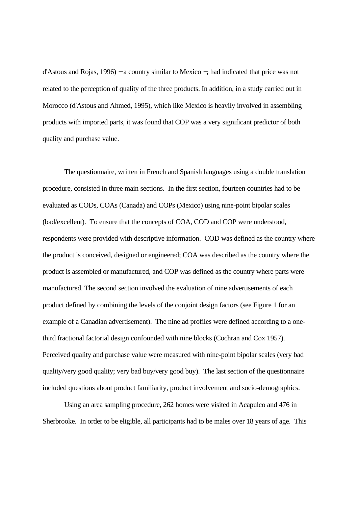d'Astous and Rojas, 1996) − a country similar to Mexico −, had indicated that price was not related to the perception of quality of the three products. In addition, in a study carried out in Morocco (d'Astous and Ahmed, 1995), which like Mexico is heavily involved in assembling products with imported parts, it was found that COP was a very significant predictor of both quality and purchase value.

The questionnaire, written in French and Spanish languages using a double translation procedure, consisted in three main sections. In the first section, fourteen countries had to be evaluated as CODs, COAs (Canada) and COPs (Mexico) using nine-point bipolar scales (bad/excellent). To ensure that the concepts of COA, COD and COP were understood, respondents were provided with descriptive information. COD was defined as the country where the product is conceived, designed or engineered; COA was described as the country where the product is assembled or manufactured, and COP was defined as the country where parts were manufactured. The second section involved the evaluation of nine advertisements of each product defined by combining the levels of the conjoint design factors (see Figure 1 for an example of a Canadian advertisement). The nine ad profiles were defined according to a onethird fractional factorial design confounded with nine blocks (Cochran and Cox 1957). Perceived quality and purchase value were measured with nine-point bipolar scales (very bad quality/very good quality; very bad buy/very good buy). The last section of the questionnaire included questions about product familiarity, product involvement and socio-demographics.

Using an area sampling procedure, 262 homes were visited in Acapulco and 476 in Sherbrooke. In order to be eligible, all participants had to be males over 18 years of age. This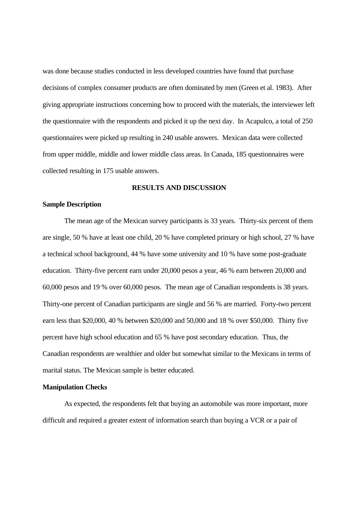was done because studies conducted in less developed countries have found that purchase decisions of complex consumer products are often dominated by men (Green et al. 1983). After giving appropriate instructions concerning how to proceed with the materials, the interviewer left the questionnaire with the respondents and picked it up the next day. In Acapulco, a total of 250 questionnaires were picked up resulting in 240 usable answers. Mexican data were collected from upper middle, middle and lower middle class areas. In Canada, 185 questionnaires were collected resulting in 175 usable answers.

#### **RESULTS AND DISCUSSION**

#### **Sample Description**

The mean age of the Mexican survey participants is 33 years. Thirty-six percent of them are single, 50 % have at least one child, 20 % have completed primary or high school, 27 % have a technical school background, 44 % have some university and 10 % have some post-graduate education. Thirty-five percent earn under 20,000 pesos a year, 46 % earn between 20,000 and 60,000 pesos and 19 % over 60,000 pesos. The mean age of Canadian respondents is 38 years. Thirty-one percent of Canadian participants are single and 56 % are married. Forty-two percent earn less than \$20,000, 40 % between \$20,000 and 50,000 and 18 % over \$50,000. Thirty five percent have high school education and 65 % have post secondary education. Thus, the Canadian respondents are wealthier and older but somewhat similar to the Mexicans in terms of marital status. The Mexican sample is better educated.

#### **Manipulation Checks**

As expected, the respondents felt that buying an automobile was more important, more difficult and required a greater extent of information search than buying a VCR or a pair of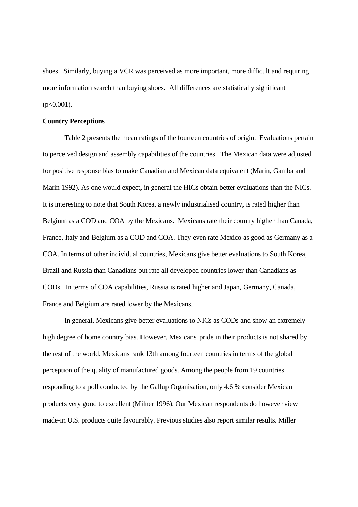shoes. Similarly, buying a VCR was perceived as more important, more difficult and requiring more information search than buying shoes. All differences are statistically significant  $(p<0.001)$ .

#### **Country Perceptions**

Table 2 presents the mean ratings of the fourteen countries of origin. Evaluations pertain to perceived design and assembly capabilities of the countries. The Mexican data were adjusted for positive response bias to make Canadian and Mexican data equivalent (Marin, Gamba and Marin 1992). As one would expect, in general the HICs obtain better evaluations than the NICs. It is interesting to note that South Korea, a newly industrialised country, is rated higher than Belgium as a COD and COA by the Mexicans. Mexicans rate their country higher than Canada, France, Italy and Belgium as a COD and COA. They even rate Mexico as good as Germany as a COA. In terms of other individual countries, Mexicans give better evaluations to South Korea, Brazil and Russia than Canadians but rate all developed countries lower than Canadians as CODs. In terms of COA capabilities, Russia is rated higher and Japan, Germany, Canada, France and Belgium are rated lower by the Mexicans.

In general, Mexicans give better evaluations to NICs as CODs and show an extremely high degree of home country bias. However, Mexicans' pride in their products is not shared by the rest of the world. Mexicans rank 13th among fourteen countries in terms of the global perception of the quality of manufactured goods. Among the people from 19 countries responding to a poll conducted by the Gallup Organisation, only 4.6 % consider Mexican products very good to excellent (Milner 1996). Our Mexican respondents do however view made-in U.S. products quite favourably. Previous studies also report similar results. Miller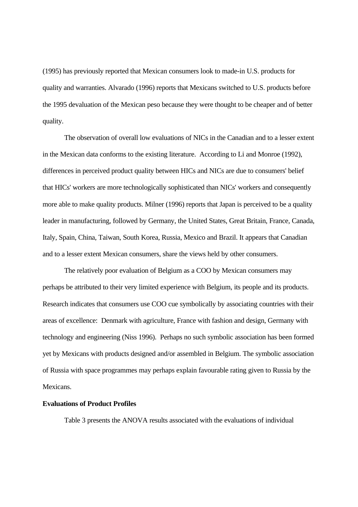(1995) has previously reported that Mexican consumers look to made-in U.S. products for quality and warranties. Alvarado (1996) reports that Mexicans switched to U.S. products before the 1995 devaluation of the Mexican peso because they were thought to be cheaper and of better quality.

The observation of overall low evaluations of NICs in the Canadian and to a lesser extent in the Mexican data conforms to the existing literature. According to Li and Monroe (1992), differences in perceived product quality between HICs and NICs are due to consumers' belief that HICs' workers are more technologically sophisticated than NICs' workers and consequently more able to make quality products. Milner (1996) reports that Japan is perceived to be a quality leader in manufacturing, followed by Germany, the United States, Great Britain, France, Canada, Italy, Spain, China, Taiwan, South Korea, Russia, Mexico and Brazil. It appears that Canadian and to a lesser extent Mexican consumers, share the views held by other consumers.

The relatively poor evaluation of Belgium as a COO by Mexican consumers may perhaps be attributed to their very limited experience with Belgium, its people and its products. Research indicates that consumers use COO cue symbolically by associating countries with their areas of excellence: Denmark with agriculture, France with fashion and design, Germany with technology and engineering (Niss 1996). Perhaps no such symbolic association has been formed yet by Mexicans with products designed and/or assembled in Belgium. The symbolic association of Russia with space programmes may perhaps explain favourable rating given to Russia by the **Mexicans** 

#### **Evaluations of Product Profiles**

Table 3 presents the ANOVA results associated with the evaluations of individual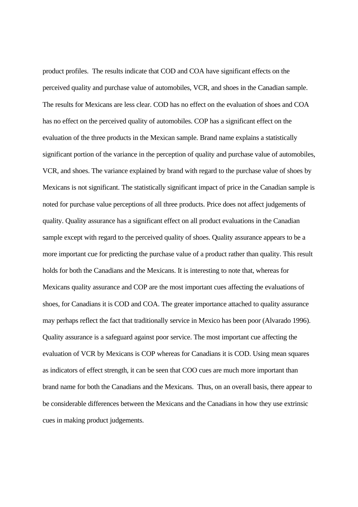product profiles. The results indicate that COD and COA have significant effects on the perceived quality and purchase value of automobiles, VCR, and shoes in the Canadian sample. The results for Mexicans are less clear. COD has no effect on the evaluation of shoes and COA has no effect on the perceived quality of automobiles. COP has a significant effect on the evaluation of the three products in the Mexican sample. Brand name explains a statistically significant portion of the variance in the perception of quality and purchase value of automobiles, VCR, and shoes. The variance explained by brand with regard to the purchase value of shoes by Mexicans is not significant. The statistically significant impact of price in the Canadian sample is noted for purchase value perceptions of all three products. Price does not affect judgements of quality. Quality assurance has a significant effect on all product evaluations in the Canadian sample except with regard to the perceived quality of shoes. Quality assurance appears to be a more important cue for predicting the purchase value of a product rather than quality. This result holds for both the Canadians and the Mexicans. It is interesting to note that, whereas for Mexicans quality assurance and COP are the most important cues affecting the evaluations of shoes, for Canadians it is COD and COA. The greater importance attached to quality assurance may perhaps reflect the fact that traditionally service in Mexico has been poor (Alvarado 1996). Quality assurance is a safeguard against poor service. The most important cue affecting the evaluation of VCR by Mexicans is COP whereas for Canadians it is COD. Using mean squares as indicators of effect strength, it can be seen that COO cues are much more important than brand name for both the Canadians and the Mexicans. Thus, on an overall basis, there appear to be considerable differences between the Mexicans and the Canadians in how they use extrinsic cues in making product judgements.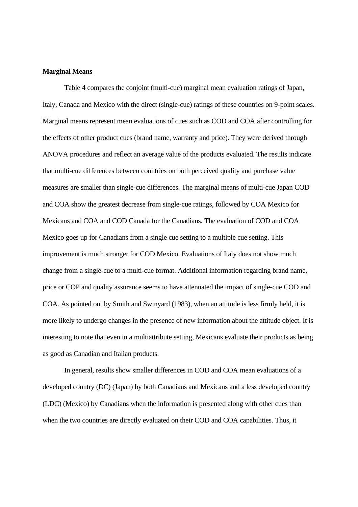#### **Marginal Means**

Table 4 compares the conjoint (multi-cue) marginal mean evaluation ratings of Japan, Italy, Canada and Mexico with the direct (single-cue) ratings of these countries on 9-point scales. Marginal means represent mean evaluations of cues such as COD and COA after controlling for the effects of other product cues (brand name, warranty and price). They were derived through ANOVA procedures and reflect an average value of the products evaluated. The results indicate that multi-cue differences between countries on both perceived quality and purchase value measures are smaller than single-cue differences. The marginal means of multi-cue Japan COD and COA show the greatest decrease from single-cue ratings, followed by COA Mexico for Mexicans and COA and COD Canada for the Canadians. The evaluation of COD and COA Mexico goes up for Canadians from a single cue setting to a multiple cue setting. This improvement is much stronger for COD Mexico. Evaluations of Italy does not show much change from a single-cue to a multi-cue format. Additional information regarding brand name, price or COP and quality assurance seems to have attenuated the impact of single-cue COD and COA. As pointed out by Smith and Swinyard (1983), when an attitude is less firmly held, it is more likely to undergo changes in the presence of new information about the attitude object. It is interesting to note that even in a multiattribute setting, Mexicans evaluate their products as being as good as Canadian and Italian products.

In general, results show smaller differences in COD and COA mean evaluations of a developed country (DC) (Japan) by both Canadians and Mexicans and a less developed country (LDC) (Mexico) by Canadians when the information is presented along with other cues than when the two countries are directly evaluated on their COD and COA capabilities. Thus, it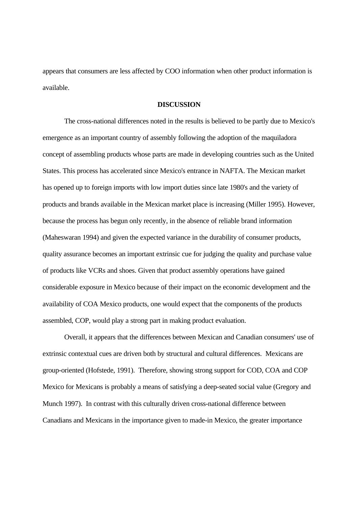appears that consumers are less affected by COO information when other product information is available.

#### **DISCUSSION**

The cross-national differences noted in the results is believed to be partly due to Mexico's emergence as an important country of assembly following the adoption of the maquiladora concept of assembling products whose parts are made in developing countries such as the United States. This process has accelerated since Mexico's entrance in NAFTA. The Mexican market has opened up to foreign imports with low import duties since late 1980's and the variety of products and brands available in the Mexican market place is increasing (Miller 1995). However, because the process has begun only recently, in the absence of reliable brand information (Maheswaran 1994) and given the expected variance in the durability of consumer products, quality assurance becomes an important extrinsic cue for judging the quality and purchase value of products like VCRs and shoes. Given that product assembly operations have gained considerable exposure in Mexico because of their impact on the economic development and the availability of COA Mexico products, one would expect that the components of the products assembled, COP, would play a strong part in making product evaluation.

Overall, it appears that the differences between Mexican and Canadian consumers' use of extrinsic contextual cues are driven both by structural and cultural differences. Mexicans are group-oriented (Hofstede, 1991). Therefore, showing strong support for COD, COA and COP Mexico for Mexicans is probably a means of satisfying a deep-seated social value (Gregory and Munch 1997). In contrast with this culturally driven cross-national difference between Canadians and Mexicans in the importance given to made-in Mexico, the greater importance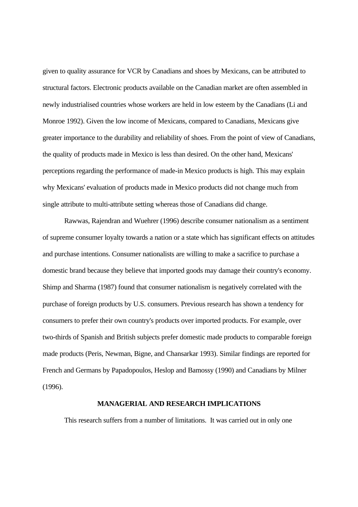given to quality assurance for VCR by Canadians and shoes by Mexicans, can be attributed to structural factors. Electronic products available on the Canadian market are often assembled in newly industrialised countries whose workers are held in low esteem by the Canadians (Li and Monroe 1992). Given the low income of Mexicans, compared to Canadians, Mexicans give greater importance to the durability and reliability of shoes. From the point of view of Canadians, the quality of products made in Mexico is less than desired. On the other hand, Mexicans' perceptions regarding the performance of made-in Mexico products is high. This may explain why Mexicans' evaluation of products made in Mexico products did not change much from single attribute to multi-attribute setting whereas those of Canadians did change.

Rawwas, Rajendran and Wuehrer (1996) describe consumer nationalism as a sentiment of supreme consumer loyalty towards a nation or a state which has significant effects on attitudes and purchase intentions. Consumer nationalists are willing to make a sacrifice to purchase a domestic brand because they believe that imported goods may damage their country's economy. Shimp and Sharma (1987) found that consumer nationalism is negatively correlated with the purchase of foreign products by U.S. consumers. Previous research has shown a tendency for consumers to prefer their own country's products over imported products. For example, over two-thirds of Spanish and British subjects prefer domestic made products to comparable foreign made products (Peris, Newman, Bigne, and Chansarkar 1993). Similar findings are reported for French and Germans by Papadopoulos, Heslop and Bamossy (1990) and Canadians by Milner (1996).

#### **MANAGERIAL AND RESEARCH IMPLICATIONS**

This research suffers from a number of limitations. It was carried out in only one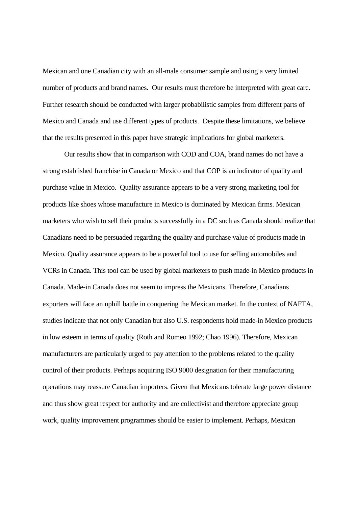Mexican and one Canadian city with an all-male consumer sample and using a very limited number of products and brand names. Our results must therefore be interpreted with great care. Further research should be conducted with larger probabilistic samples from different parts of Mexico and Canada and use different types of products. Despite these limitations, we believe that the results presented in this paper have strategic implications for global marketers.

Our results show that in comparison with COD and COA, brand names do not have a strong established franchise in Canada or Mexico and that COP is an indicator of quality and purchase value in Mexico. Quality assurance appears to be a very strong marketing tool for products like shoes whose manufacture in Mexico is dominated by Mexican firms. Mexican marketers who wish to sell their products successfully in a DC such as Canada should realize that Canadians need to be persuaded regarding the quality and purchase value of products made in Mexico. Quality assurance appears to be a powerful tool to use for selling automobiles and VCRs in Canada. This tool can be used by global marketers to push made-in Mexico products in Canada. Made-in Canada does not seem to impress the Mexicans. Therefore, Canadians exporters will face an uphill battle in conquering the Mexican market. In the context of NAFTA, studies indicate that not only Canadian but also U.S. respondents hold made-in Mexico products in low esteem in terms of quality (Roth and Romeo 1992; Chao 1996). Therefore, Mexican manufacturers are particularly urged to pay attention to the problems related to the quality control of their products. Perhaps acquiring ISO 9000 designation for their manufacturing operations may reassure Canadian importers. Given that Mexicans tolerate large power distance and thus show great respect for authority and are collectivist and therefore appreciate group work, quality improvement programmes should be easier to implement. Perhaps, Mexican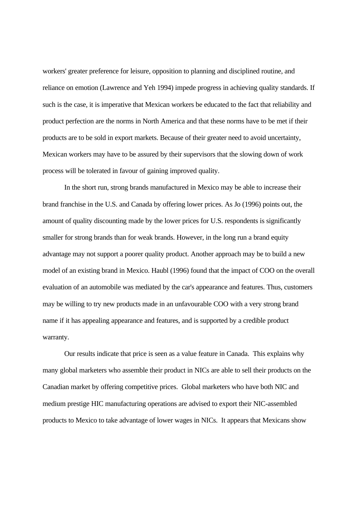workers' greater preference for leisure, opposition to planning and disciplined routine, and reliance on emotion (Lawrence and Yeh 1994) impede progress in achieving quality standards. If such is the case, it is imperative that Mexican workers be educated to the fact that reliability and product perfection are the norms in North America and that these norms have to be met if their products are to be sold in export markets. Because of their greater need to avoid uncertainty, Mexican workers may have to be assured by their supervisors that the slowing down of work process will be tolerated in favour of gaining improved quality.

In the short run, strong brands manufactured in Mexico may be able to increase their brand franchise in the U.S. and Canada by offering lower prices. As Jo (1996) points out, the amount of quality discounting made by the lower prices for U.S. respondents is significantly smaller for strong brands than for weak brands. However, in the long run a brand equity advantage may not support a poorer quality product. Another approach may be to build a new model of an existing brand in Mexico. Haubl (1996) found that the impact of COO on the overall evaluation of an automobile was mediated by the car's appearance and features. Thus, customers may be willing to try new products made in an unfavourable COO with a very strong brand name if it has appealing appearance and features, and is supported by a credible product warranty.

Our results indicate that price is seen as a value feature in Canada. This explains why many global marketers who assemble their product in NICs are able to sell their products on the Canadian market by offering competitive prices. Global marketers who have both NIC and medium prestige HIC manufacturing operations are advised to export their NIC-assembled products to Mexico to take advantage of lower wages in NICs. It appears that Mexicans show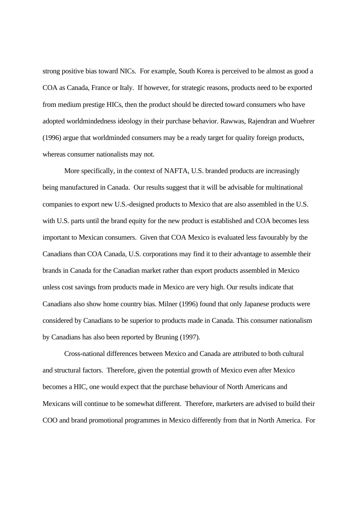strong positive bias toward NICs. For example, South Korea is perceived to be almost as good a COA as Canada, France or Italy. If however, for strategic reasons, products need to be exported from medium prestige HICs, then the product should be directed toward consumers who have adopted worldmindedness ideology in their purchase behavior. Rawwas, Rajendran and Wuehrer (1996) argue that worldminded consumers may be a ready target for quality foreign products, whereas consumer nationalists may not.

More specifically, in the context of NAFTA, U.S. branded products are increasingly being manufactured in Canada. Our results suggest that it will be advisable for multinational companies to export new U.S.-designed products to Mexico that are also assembled in the U.S. with U.S. parts until the brand equity for the new product is established and COA becomes less important to Mexican consumers. Given that COA Mexico is evaluated less favourably by the Canadians than COA Canada, U.S. corporations may find it to their advantage to assemble their brands in Canada for the Canadian market rather than export products assembled in Mexico unless cost savings from products made in Mexico are very high. Our results indicate that Canadians also show home country bias. Milner (1996) found that only Japanese products were considered by Canadians to be superior to products made in Canada. This consumer nationalism by Canadians has also been reported by Bruning (1997).

Cross-national differences between Mexico and Canada are attributed to both cultural and structural factors. Therefore, given the potential growth of Mexico even after Mexico becomes a HIC, one would expect that the purchase behaviour of North Americans and Mexicans will continue to be somewhat different. Therefore, marketers are advised to build their COO and brand promotional programmes in Mexico differently from that in North America. For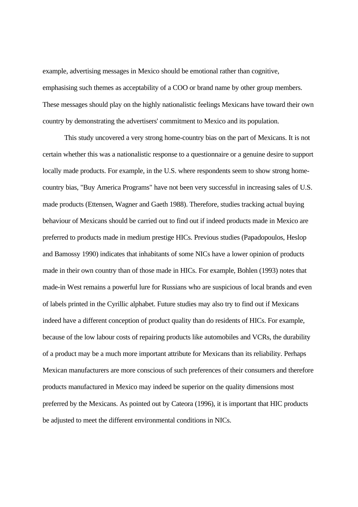example, advertising messages in Mexico should be emotional rather than cognitive, emphasising such themes as acceptability of a COO or brand name by other group members. These messages should play on the highly nationalistic feelings Mexicans have toward their own country by demonstrating the advertisers' commitment to Mexico and its population.

This study uncovered a very strong home-country bias on the part of Mexicans. It is not certain whether this was a nationalistic response to a questionnaire or a genuine desire to support locally made products. For example, in the U.S. where respondents seem to show strong homecountry bias, "Buy America Programs" have not been very successful in increasing sales of U.S. made products (Ettensen, Wagner and Gaeth 1988). Therefore, studies tracking actual buying behaviour of Mexicans should be carried out to find out if indeed products made in Mexico are preferred to products made in medium prestige HICs. Previous studies (Papadopoulos, Heslop and Bamossy 1990) indicates that inhabitants of some NICs have a lower opinion of products made in their own country than of those made in HICs. For example, Bohlen (1993) notes that made-in West remains a powerful lure for Russians who are suspicious of local brands and even of labels printed in the Cyrillic alphabet. Future studies may also try to find out if Mexicans indeed have a different conception of product quality than do residents of HICs. For example, because of the low labour costs of repairing products like automobiles and VCRs, the durability of a product may be a much more important attribute for Mexicans than its reliability. Perhaps Mexican manufacturers are more conscious of such preferences of their consumers and therefore products manufactured in Mexico may indeed be superior on the quality dimensions most preferred by the Mexicans. As pointed out by Cateora (1996), it is important that HIC products be adjusted to meet the different environmental conditions in NICs.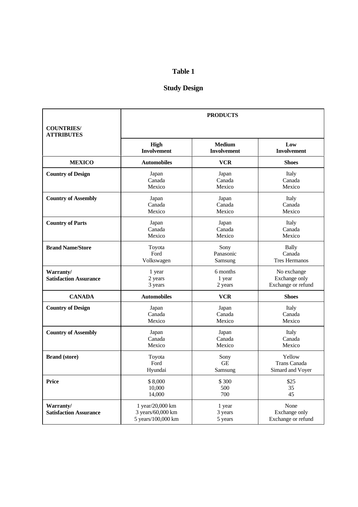# **Table 1**

# **Study Design**

| <b>COUNTRIES/</b><br><b>ATTRIBUTES</b>     | <b>PRODUCTS</b>                                               |                              |                                                    |  |  |  |
|--------------------------------------------|---------------------------------------------------------------|------------------------------|----------------------------------------------------|--|--|--|
|                                            | <b>High</b>                                                   | <b>Medium</b>                | Low                                                |  |  |  |
|                                            | <b>Involvement</b>                                            | <b>Involvement</b>           | <b>Involvement</b>                                 |  |  |  |
| <b>MEXICO</b>                              | <b>Automobiles</b>                                            | <b>VCR</b>                   | <b>Shoes</b>                                       |  |  |  |
| <b>Country of Design</b>                   | Japan                                                         | Japan                        | Italy                                              |  |  |  |
|                                            | Canada                                                        | Canada                       | Canada                                             |  |  |  |
|                                            | Mexico                                                        | Mexico                       | Mexico                                             |  |  |  |
| <b>Country of Assembly</b>                 | Japan                                                         | Japan                        | Italy                                              |  |  |  |
|                                            | Canada                                                        | Canada                       | Canada                                             |  |  |  |
|                                            | Mexico                                                        | Mexico                       | Mexico                                             |  |  |  |
| <b>Country of Parts</b>                    | Japan                                                         | Japan                        | Italy                                              |  |  |  |
|                                            | Canada                                                        | Canada                       | Canada                                             |  |  |  |
|                                            | Mexico                                                        | Mexico                       | Mexico                                             |  |  |  |
| <b>Brand Name/Store</b>                    | Toyota                                                        | Sony                         | Bally                                              |  |  |  |
|                                            | Ford                                                          | Panasonic                    | Canada                                             |  |  |  |
|                                            | Volkswagen                                                    | Samsung                      | <b>Tres Hermanos</b>                               |  |  |  |
| Warranty/<br><b>Satisfaction Assurance</b> | 6 months<br>1 year<br>1 year<br>2 years<br>3 years<br>2 years |                              | No exchange<br>Exchange only<br>Exchange or refund |  |  |  |
| <b>CANADA</b>                              | <b>Automobiles</b>                                            | <b>VCR</b>                   | <b>Shoes</b>                                       |  |  |  |
| <b>Country of Design</b>                   | Japan                                                         | Japan                        | Italy                                              |  |  |  |
|                                            | Canada                                                        | Canada                       | Canada                                             |  |  |  |
|                                            | Mexico                                                        | Mexico                       | Mexico                                             |  |  |  |
| <b>Country of Assembly</b>                 | Japan                                                         | Japan                        | Italy                                              |  |  |  |
|                                            | Canada                                                        | Canada                       | Canada                                             |  |  |  |
|                                            | Mexico                                                        | Mexico                       | Mexico                                             |  |  |  |
| <b>Brand</b> (store)                       | Toyota                                                        | Sony                         | Yellow                                             |  |  |  |
|                                            | Ford                                                          | <b>GE</b>                    | Trans Canada                                       |  |  |  |
|                                            | Hyundai                                                       | Samsung                      | Simard and Voyer                                   |  |  |  |
| <b>Price</b>                               | \$8,000<br>10,000<br>14,000                                   |                              | \$25<br>35<br>45                                   |  |  |  |
| Warranty/<br><b>Satisfaction Assurance</b> | 1 year/20,000 km<br>3 years/60,000 km<br>5 years/100,000 km   | 1 year<br>3 years<br>5 years | None<br>Exchange only<br>Exchange or refund        |  |  |  |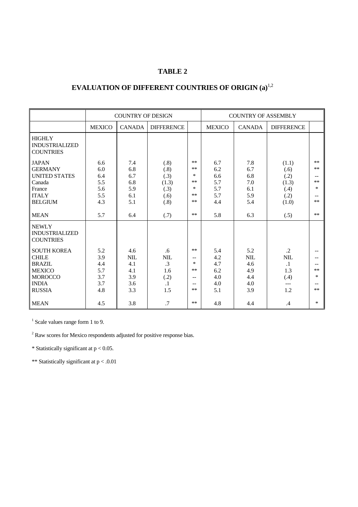## **TABLE 2**

# **EVALUATION OF DIFFERENT COUNTRIES OF ORIGIN (a)**1,2

|                                                                                                                         | <b>COUNTRY OF DESIGN</b>                      |                                                      |                                                                  |                                                                                        | <b>COUNTRY OF ASSEMBLY</b>                    |                                                      |                                                                    |                                               |
|-------------------------------------------------------------------------------------------------------------------------|-----------------------------------------------|------------------------------------------------------|------------------------------------------------------------------|----------------------------------------------------------------------------------------|-----------------------------------------------|------------------------------------------------------|--------------------------------------------------------------------|-----------------------------------------------|
|                                                                                                                         | <b>MEXICO</b>                                 | <b>CANADA</b>                                        | <b>DIFFERENCE</b>                                                |                                                                                        | <b>MEXICO</b>                                 | <b>CANADA</b>                                        | <b>DIFFERENCE</b>                                                  |                                               |
| <b>HIGHLY</b><br><b>INDUSTRIALIZED</b><br><b>COUNTRIES</b>                                                              |                                               |                                                      |                                                                  |                                                                                        |                                               |                                                      |                                                                    |                                               |
| <b>JAPAN</b><br><b>GERMANY</b><br><b>UNITED STATES</b><br>Canada<br>France<br><b>ITALY</b><br><b>BELGIUM</b>            | 6.6<br>6.0<br>6.4<br>5.5<br>5.6<br>5.5<br>4.3 | 7.4<br>6.8<br>6.7<br>6.8<br>5.9<br>6.1<br>5.1        | (.8)<br>(.8)<br>(.3)<br>(1.3)<br>(.3)<br>(.6)<br>(.8)            | $**$<br>$\star$ $\star$<br>$*$<br>$**$<br>$*$<br>$**$<br>$\ast\ast$                    | 6.7<br>6.2<br>6.6<br>5.7<br>5.7<br>5.7<br>4.4 | 7.8<br>6.7<br>6.8<br>7.0<br>6.1<br>5.9<br>5.4        | (1.1)<br>(.6)<br>(.2)<br>(1.3)<br>(.4)<br>(.2)<br>(1.0)            | $**$<br>$**$<br>$**$<br>$\ast$<br>$-$<br>$**$ |
| <b>MEAN</b>                                                                                                             | 5.7                                           | 6.4                                                  | (.7)                                                             | $\star$ $\star$                                                                        | 5.8                                           | 6.3                                                  | (.5)                                                               | $**$                                          |
| <b>NEWLY</b><br><b>INDUSTRIALIZED</b><br><b>COUNTRIES</b>                                                               |                                               |                                                      |                                                                  |                                                                                        |                                               |                                                      |                                                                    |                                               |
| <b>SOUTH KOREA</b><br><b>CHILE</b><br><b>BRAZIL</b><br><b>MEXICO</b><br><b>MOROCCO</b><br><b>INDIA</b><br><b>RUSSIA</b> | 5.2<br>3.9<br>4.4<br>5.7<br>3.7<br>3.7<br>4.8 | 4.6<br><b>NIL</b><br>4.1<br>4.1<br>3.9<br>3.6<br>3.3 | .6<br><b>NIL</b><br>$\cdot$ 3<br>1.6<br>(.2)<br>$\cdot$ 1<br>1.5 | $\star$ $\star$<br>$\overline{\phantom{m}}$<br>$*$<br>$**$<br>$-$<br>$-$<br>$\ast\ast$ | 5.4<br>4.2<br>4.7<br>6.2<br>4.0<br>4.0<br>5.1 | 5.2<br><b>NIL</b><br>4.6<br>4.9<br>4.4<br>4.0<br>3.9 | $\cdot$ .2<br><b>NIL</b><br>$\cdot$ 1<br>1.3<br>(.4)<br>---<br>1.2 | $**$<br>$\ast$<br>$**$                        |
| <b>MEAN</b>                                                                                                             | 4.5                                           | 3.8                                                  | .7                                                               | $\ast\ast$                                                                             | 4.8                                           | 4.4                                                  | .4                                                                 | $\ast$                                        |

<sup>1</sup> Scale values range form 1 to 9.

 $2^2$  Raw scores for Mexico respondents adjusted for positive response bias.

\* Statistically significant at  $p < 0.05$ .

\*\* Statistically significant at p < .0.01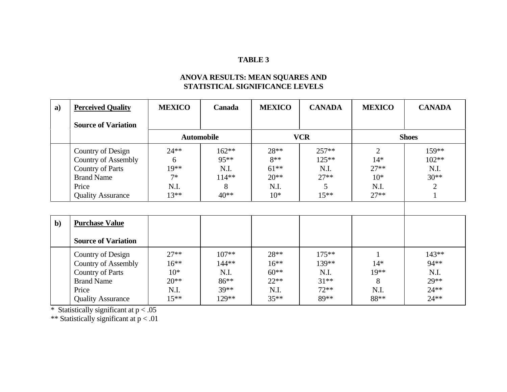## **TABLE 3**

#### **ANOVA RESULTS: MEAN SQUARES AND STATISTICAL SIGNIFICANCE LEVELS**

| $\mathbf{a}$ | <b>Perceived Quality</b>   | <b>MEXICO</b>     | Canada  | <b>MEXICO</b> | <b>CANADA</b> | <b>MEXICO</b>  | <b>CANADA</b> |
|--------------|----------------------------|-------------------|---------|---------------|---------------|----------------|---------------|
|              | <b>Source of Variation</b> |                   |         |               |               |                |               |
|              |                            | <b>Automobile</b> |         | <b>VCR</b>    |               | <b>Shoes</b>   |               |
|              | Country of Design          | $24**$            | $162**$ | 28**          | $257**$       | $\overline{2}$ | 159**         |
|              | <b>Country of Assembly</b> | 6                 | $95***$ | $8**$         | $125**$       | $14*$          | $102**$       |
|              | <b>Country of Parts</b>    | $19**$            | N.I.    | $61***$       | N.I.          | $27**$         | N.I.          |
|              | <b>Brand Name</b>          | $7*$              | $114**$ | $20**$        | $27**$        | $10*$          | $30**$        |
|              | Price                      | N.I.              | 8       | N.I.          | 5             | N.I.           | 2             |
|              | <b>Quality Assurance</b>   | $13**$            | $40**$  | $10*$         | $15***$       | $27**$         |               |
|              |                            |                   |         |               |               |                |               |
| $b$          | <b>Purchase Value</b>      |                   |         |               |               |                |               |
|              | <b>Source of Variation</b> |                   |         |               |               |                |               |
|              | Country of Design          | $27**$            | $107**$ | 28**          | $175***$      |                | 143**         |
|              | <b>Country of Assembly</b> | $16***$           | 144**   | $16***$       | $139**$       | $14*$          | $94**$        |
|              | <b>Country of Parts</b>    | $10*$             | N.I.    | $60**$        | N.I.          | $19**$         | N.I.          |
|              | <b>Brand Name</b>          | $20**$            | 86**    | $22**$        | $31***$       | 8              | $29**$        |
|              | Price                      | N.I.              | $39**$  | N.I.          | $72**$        | N.I.           | $24**$        |
|              | <b>Quality Assurance</b>   | $15***$           | 129**   | $35***$       | 89**          | 88**           | $24***$       |

\* Statistically significant at  $p < .05$ 

\*\* Statistically significant at p < .01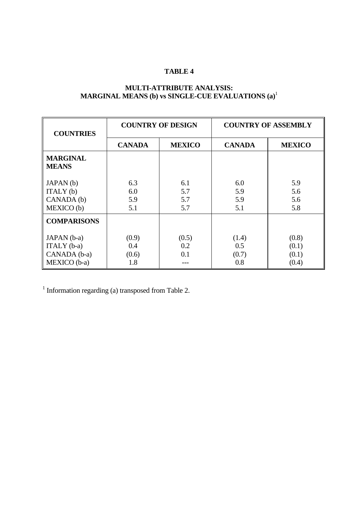# **TABLE 4**

## **MULTI-ATTRIBUTE ANALYSIS: MARGINAL MEANS (b) vs SINGLE-CUE EVALUATIONS (a)**<sup>1</sup>

| <b>COUNTRIES</b>                |               | <b>COUNTRY OF DESIGN</b> | <b>COUNTRY OF ASSEMBLY</b> |               |  |
|---------------------------------|---------------|--------------------------|----------------------------|---------------|--|
|                                 | <b>CANADA</b> | <b>MEXICO</b>            | <b>CANADA</b>              | <b>MEXICO</b> |  |
| <b>MARGINAL</b><br><b>MEANS</b> |               |                          |                            |               |  |
| JAPAN(b)                        | 6.3           | 6.1                      | 6.0                        | 5.9           |  |
| ITALY(b)                        | 6.0           | 5.7                      | 5.9                        | 5.6           |  |
| CANADA (b)                      | 5.9           | 5.7                      | 5.9                        | 5.6           |  |
| MEXICO (b)                      | 5.1           | 5.7                      | 5.1                        | 5.8           |  |
| <b>COMPARISONS</b>              |               |                          |                            |               |  |
| JAPAN (b-a)                     | (0.9)         | (0.5)                    | (1.4)                      | (0.8)         |  |
| ITALY (b-a)                     | 0.4           | 0.2                      | 0.5                        | (0.1)         |  |
| CANADA (b-a)                    | (0.6)         | 0.1                      | (0.7)                      | (0.1)         |  |
| MEXICO (b-a)                    | 1.8           |                          | 0.8                        | (0.4)         |  |

<sup>1</sup> Information regarding (a) transposed from Table 2.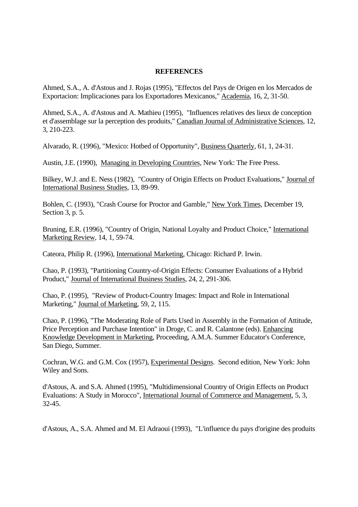#### **REFERENCES**

Ahmed, S.A., A. d'Astous and J. Rojas (1995), "Effectos del Pays de Origen en los Mercados de Exportacion: Implicaciones para los Exportadores Mexicanos," Academia, 16, 2, 31-50.

Ahmed, S.A., A. d'Astous and A. Mathieu (1995), "Influences relatives des lieux de conception et d'assemblage sur la perception des produits," Canadian Journal of Administrative Sciences, 12, 3, 210-223.

Alvarado, R. (1996), "Mexico: Hotbed of Opportunity", Business Quarterly, 61, 1, 24-31.

Austin, J.E. (1990), Managing in Developing Countries, New York: The Free Press.

Bilkey, W.J. and E. Ness (1982), "Country of Origin Effects on Product Evaluations," Journal of International Business Studies, 13, 89-99.

Bohlen, C. (1993), "Crash Course for Proctor and Gamble," New York Times, December 19, Section 3, p. 5.

Bruning, E.R. (1996), "Country of Origin, National Loyalty and Product Choice," International Marketing Review, 14, 1, 59-74.

Cateora, Philip R. (1996), International Marketing, Chicago: Richard P. Irwin.

Chao, P. (1993), "Partitioning Country-of-Origin Effects: Consumer Evaluations of a Hybrid Product," Journal of International Business Studies, 24, 2, 291-306.

Chao, P. (1995), "Review of Product-Country Images: Impact and Role in International Marketing," Journal of Marketing, 59, 2, 115.

Chao, P. (1996), "The Moderating Role of Parts Used in Assembly in the Formation of Attitude, Price Perception and Purchase Intention" in Droge, C. and R. Calantone (eds). Enhancing Knowledge Development in Marketing, Proceeding, A.M.A. Summer Educator's Conference, San Diego, Summer.

Cochran, W.G. and G.M. Cox (1957), Experimental Designs. Second edition, New York: John Wiley and Sons.

d'Astous, A. and S.A. Ahmed (1995), "Multidimensional Country of Origin Effects on Product Evaluations: A Study in Morocco", International Journal of Commerce and Management, 5, 3, 32-45.

d'Astous, A., S.A. Ahmed and M. El Adraoui (1993), "L'influence du pays d'origine des produits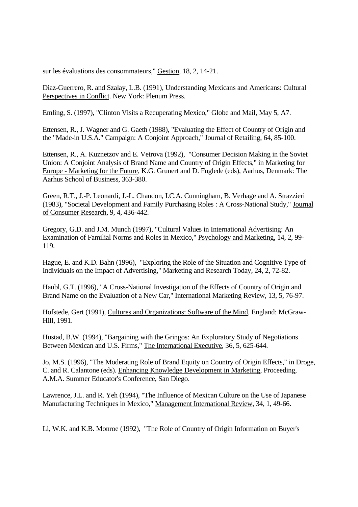sur les évaluations des consommateurs," Gestion, 18, 2, 14-21.

Diaz-Guerrero, R. and Szalay, L.B. (1991), Understanding Mexicans and Americans: Cultural Perspectives in Conflict. New York: Plenum Press.

Emling, S. (1997), "Clinton Visits a Recuperating Mexico," Globe and Mail, May 5, A7.

Ettensen, R., J. Wagner and G. Gaeth (1988), "Evaluating the Effect of Country of Origin and the "Made-in U.S.A." Campaign: A Conjoint Approach," Journal of Retailing, 64, 85-100.

Ettensen, R., A. Kuznetzov and E. Vetrova (1992), "Consumer Decision Making in the Soviet Union: A Conjoint Analysis of Brand Name and Country of Origin Effects," in Marketing for Europe - Marketing for the Future, K.G. Grunert and D. Fuglede (eds), Aarhus, Denmark: The Aarhus School of Business, 363-380.

Green, R.T., J.-P. Leonardi, J.-L. Chandon, I.C.A. Cunningham, B. Verhage and A. Strazzieri (1983), "Societal Development and Family Purchasing Roles : A Cross-National Study," Journal of Consumer Research, 9, 4, 436-442.

Gregory, G.D. and J.M. Munch (1997), "Cultural Values in International Advertising: An Examination of Familial Norms and Roles in Mexico," Psychology and Marketing, 14, 2, 99- 119.

Hague, E. and K.D. Bahn (1996), "Exploring the Role of the Situation and Cognitive Type of Individuals on the Impact of Advertising," Marketing and Research Today, 24, 2, 72-82.

Haubl, G.T. (1996), "A Cross-National Investigation of the Effects of Country of Origin and Brand Name on the Evaluation of a New Car," International Marketing Review, 13, 5, 76-97.

Hofstede, Gert (1991), Cultures and Organizations: Software of the Mind, England: McGraw-Hill, 1991.

Hustad, B.W. (1994), "Bargaining with the Gringos: An Exploratory Study of Negotiations Between Mexican and U.S. Firms," The International Executive, 36, 5, 625-644.

Jo, M.S. (1996), "The Moderating Role of Brand Equity on Country of Origin Effects," in Droge, C. and R. Calantone (eds). Enhancing Knowledge Development in Marketing, Proceeding, A.M.A. Summer Educator's Conference, San Diego.

Lawrence, J.L. and R. Yeh (1994), "The Influence of Mexican Culture on the Use of Japanese Manufacturing Techniques in Mexico," Management International Review, 34, 1, 49-66.

Li, W.K. and K.B. Monroe (1992), "The Role of Country of Origin Information on Buyer's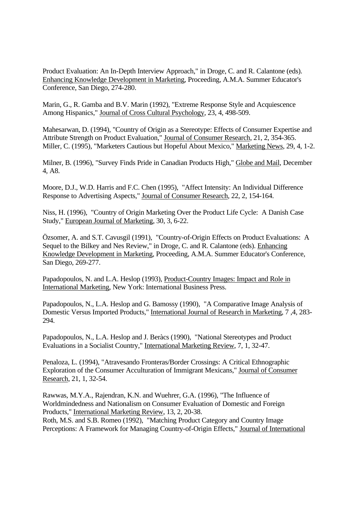Product Evaluation: An In-Depth Interview Approach," in Droge, C. and R. Calantone (eds). Enhancing Knowledge Development in Marketing, Proceeding, A.M.A. Summer Educator's Conference, San Diego, 274-280.

Marin, G., R. Gamba and B.V. Marin (1992), "Extreme Response Style and Acquiescence Among Hispanics," Journal of Cross Cultural Psychology, 23, 4, 498-509.

Mahesarwan, D. (1994), "Country of Origin as a Stereotype: Effects of Consumer Expertise and Attribute Strength on Product Evaluation," Journal of Consumer Research, 21, 2, 354-365. Miller, C. (1995), "Marketers Cautious but Hopeful About Mexico," Marketing News, 29, 4, 1-2.

Milner, B. (1996), "Survey Finds Pride in Canadian Products High," Globe and Mail, December 4, A8.

Moore, D.J., W.D. Harris and F.C. Chen (1995), "Affect Intensity: An Individual Difference Response to Advertising Aspects," Journal of Consumer Research, 22, 2, 154-164.

Niss, H. (1996), "Country of Origin Marketing Over the Product Life Cycle: A Danish Case Study," European Journal of Marketing, 30, 3, 6-22.

Özsomer, A. and S.T. Cavusgil (1991), "Country-of-Origin Effects on Product Evaluations: A Sequel to the Bilkey and Nes Review," in Droge, C. and R. Calantone (eds). Enhancing Knowledge Development in Marketing, Proceeding, A.M.A. Summer Educator's Conference, San Diego, 269-277.

Papadopoulos, N. and L.A. Heslop (1993), Product-Country Images: Impact and Role in International Marketing, New York: International Business Press.

Papadopoulos, N., L.A. Heslop and G. Bamossy (1990), "A Comparative Image Analysis of Domestic Versus Imported Products," International Journal of Research in Marketing, 7 ,4, 283- 294.

Papadopoulos, N., L.A. Heslop and J. Beràcs (1990), "National Stereotypes and Product Evaluations in a Socialist Country," International Marketing Review, 7, 1, 32-47.

Penaloza, L. (1994), "Atravesando Fronteras/Border Crossings: A Critical Ethnographic Exploration of the Consumer Acculturation of Immigrant Mexicans," Journal of Consumer Research, 21, 1, 32-54.

Rawwas, M.Y.A., Rajendran, K.N. and Wuehrer, G.A. (1996), "The Influence of Worldmindedness and Nationalism on Consumer Evaluation of Domestic and Foreign Products," International Marketing Review, 13, 2, 20-38. Roth, M.S. and S.B. Romeo (1992), "Matching Product Category and Country Image Perceptions: A Framework for Managing Country-of-Origin Effects," Journal of International